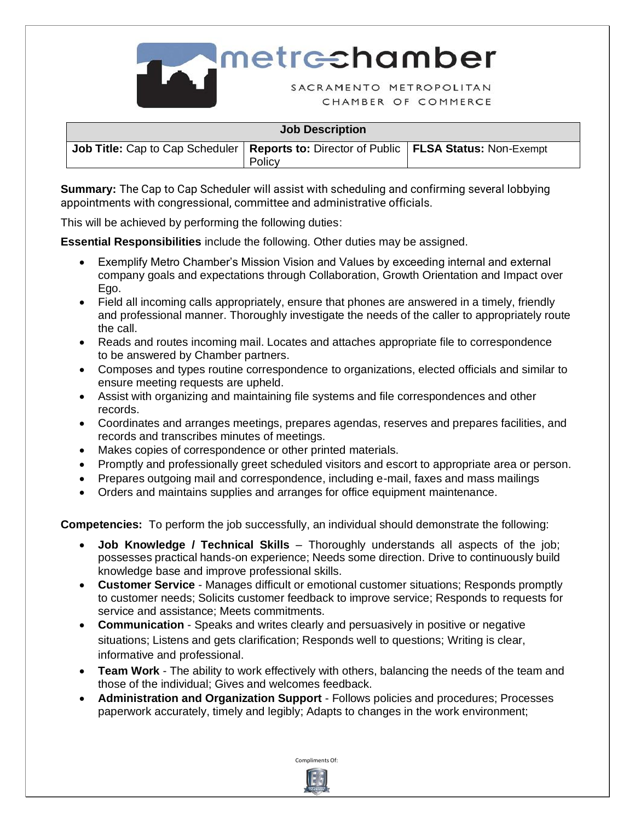

| <b>Job Description</b>                                                                            |        |  |  |  |
|---------------------------------------------------------------------------------------------------|--------|--|--|--|
| <b>Job Title:</b> Cap to Cap Scheduler   Reports to: Director of Public   FLSA Status: Non-Exempt | Policy |  |  |  |

**Summary:** The Cap to Cap Scheduler will assist with scheduling and confirming several lobbying appointments with congressional, committee and administrative officials.

This will be achieved by performing the following duties:

**Essential Responsibilities** include the following. Other duties may be assigned.

- Exemplify Metro Chamber's Mission Vision and Values by exceeding internal and external company goals and expectations through Collaboration, Growth Orientation and Impact over Ego.
- Field all incoming calls appropriately, ensure that phones are answered in a timely, friendly and professional manner. Thoroughly investigate the needs of the caller to appropriately route the call.
- Reads and routes incoming mail. Locates and attaches appropriate file to correspondence to be answered by Chamber partners.
- Composes and types routine correspondence to organizations, elected officials and similar to ensure meeting requests are upheld.
- Assist with organizing and maintaining file systems and file correspondences and other records.
- Coordinates and arranges meetings, prepares agendas, reserves and prepares facilities, and records and transcribes minutes of meetings.
- Makes copies of correspondence or other printed materials.
- Promptly and professionally greet scheduled visitors and escort to appropriate area or person.
- Prepares outgoing mail and correspondence, including e-mail, faxes and mass mailings
- Orders and maintains supplies and arranges for office equipment maintenance.

**Competencies:** To perform the job successfully, an individual should demonstrate the following:

- **Job Knowledge / Technical Skills** Thoroughly understands all aspects of the job; possesses practical hands-on experience; Needs some direction. Drive to continuously build knowledge base and improve professional skills.
- **Customer Service** Manages difficult or emotional customer situations; Responds promptly to customer needs; Solicits customer feedback to improve service; Responds to requests for service and assistance; Meets commitments.
- **Communication** Speaks and writes clearly and persuasively in positive or negative situations; Listens and gets clarification; Responds well to questions; Writing is clear, informative and professional.
- **Team Work** The ability to work effectively with others, balancing the needs of the team and those of the individual; Gives and welcomes feedback.
- **Administration and Organization Support** Follows policies and procedures; Processes paperwork accurately, timely and legibly; Adapts to changes in the work environment;



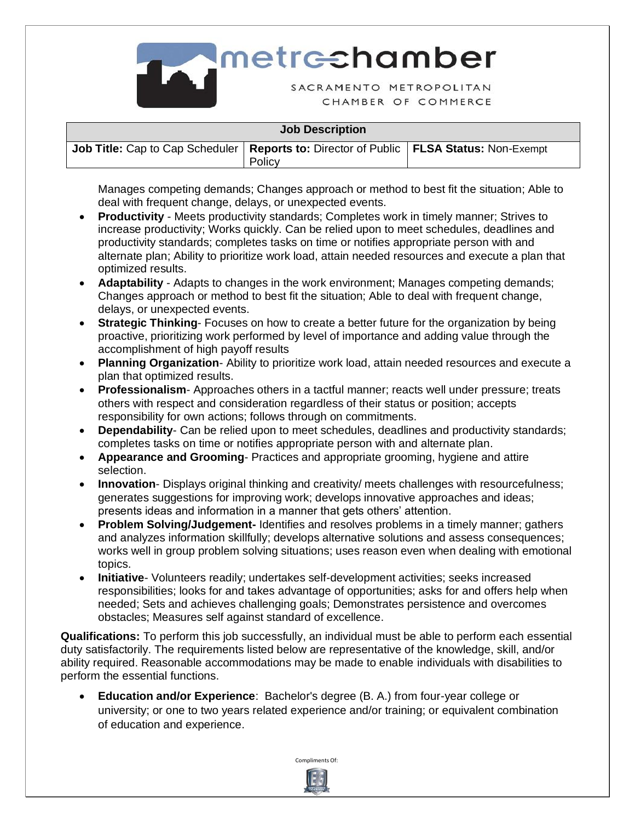

| <b>Job Description</b>                                                                            |        |  |  |  |
|---------------------------------------------------------------------------------------------------|--------|--|--|--|
| <b>Job Title:</b> Cap to Cap Scheduler   Reports to: Director of Public   FLSA Status: Non-Exempt | Policy |  |  |  |

Manages competing demands; Changes approach or method to best fit the situation; Able to deal with frequent change, delays, or unexpected events.

- **Productivity** Meets productivity standards; Completes work in timely manner; Strives to increase productivity; Works quickly. Can be relied upon to meet schedules, deadlines and productivity standards; completes tasks on time or notifies appropriate person with and alternate plan; Ability to prioritize work load, attain needed resources and execute a plan that optimized results.
- **Adaptability**  Adapts to changes in the work environment; Manages competing demands; Changes approach or method to best fit the situation; Able to deal with frequent change, delays, or unexpected events.
- **Strategic Thinking** Focuses on how to create a better future for the organization by being proactive, prioritizing work performed by level of importance and adding value through the accomplishment of high payoff results
- **Planning Organization** Ability to prioritize work load, attain needed resources and execute a plan that optimized results.
- **Professionalism** Approaches others in a tactful manner; reacts well under pressure; treats others with respect and consideration regardless of their status or position; accepts responsibility for own actions; follows through on commitments.
- **Dependability** Can be relied upon to meet schedules, deadlines and productivity standards; completes tasks on time or notifies appropriate person with and alternate plan.
- **Appearance and Grooming** Practices and appropriate grooming, hygiene and attire selection.
- **Innovation** Displays original thinking and creativity/ meets challenges with resourcefulness; generates suggestions for improving work; develops innovative approaches and ideas; presents ideas and information in a manner that gets others' attention.
- **Problem Solving/Judgement-** Identifies and resolves problems in a timely manner; gathers and analyzes information skillfully; develops alternative solutions and assess consequences; works well in group problem solving situations; uses reason even when dealing with emotional topics.
- **Initiative** Volunteers readily; undertakes self-development activities; seeks increased responsibilities; looks for and takes advantage of opportunities; asks for and offers help when needed; Sets and achieves challenging goals; Demonstrates persistence and overcomes obstacles; Measures self against standard of excellence.

**Qualifications:** To perform this job successfully, an individual must be able to perform each essential duty satisfactorily. The requirements listed below are representative of the knowledge, skill, and/or ability required. Reasonable accommodations may be made to enable individuals with disabilities to perform the essential functions.

• **Education and/or Experience**: Bachelor's degree (B. A.) from four-year college or university; or one to two years related experience and/or training; or equivalent combination of education and experience.

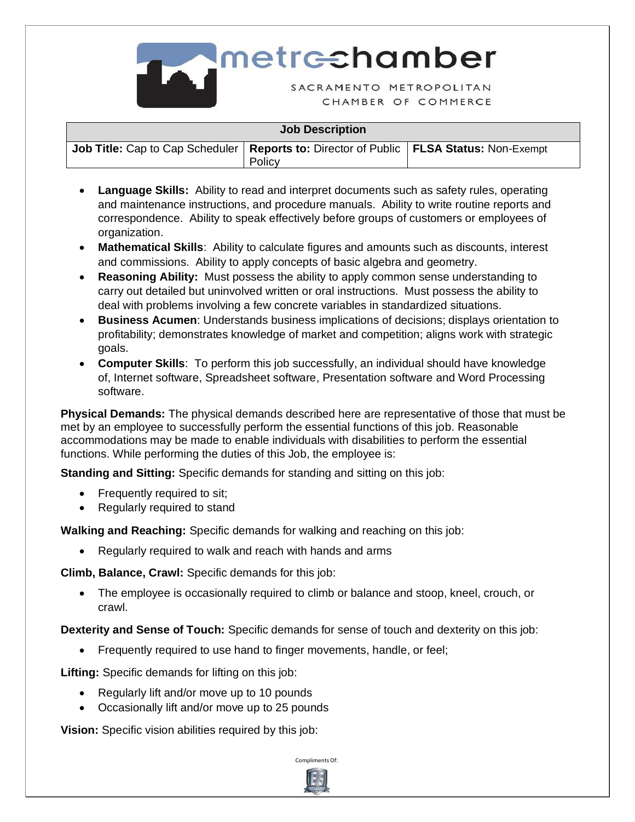

**Imetrechamber** 

SACRAMENTO METROPOLITAN CHAMBER OF COMMERCE

## **Job Description**

| <b>Job Title:</b> Cap to Cap Scheduler   Reports to: Director of Public   FLSA Status: Non-Exempt |        |  |
|---------------------------------------------------------------------------------------------------|--------|--|
|                                                                                                   | Policy |  |

- **Language Skills:** Ability to read and interpret documents such as safety rules, operating and maintenance instructions, and procedure manuals. Ability to write routine reports and correspondence. Ability to speak effectively before groups of customers or employees of organization.
- **Mathematical Skills**: Ability to calculate figures and amounts such as discounts, interest and commissions. Ability to apply concepts of basic algebra and geometry.
- **Reasoning Ability:** Must possess the ability to apply common sense understanding to carry out detailed but uninvolved written or oral instructions. Must possess the ability to deal with problems involving a few concrete variables in standardized situations.
- **Business Acumen**: Understands business implications of decisions; displays orientation to profitability; demonstrates knowledge of market and competition; aligns work with strategic goals.
- **Computer Skills**: To perform this job successfully, an individual should have knowledge of, Internet software, Spreadsheet software, Presentation software and Word Processing software.

**Physical Demands:** The physical demands described here are representative of those that must be met by an employee to successfully perform the essential functions of this job. Reasonable accommodations may be made to enable individuals with disabilities to perform the essential functions. While performing the duties of this Job, the employee is:

**Standing and Sitting:** Specific demands for standing and sitting on this job:

- Frequently required to sit;
- Regularly required to stand

**Walking and Reaching:** Specific demands for walking and reaching on this job:

• Regularly required to walk and reach with hands and arms

**Climb, Balance, Crawl:** Specific demands for this job:

• The employee is occasionally required to climb or balance and stoop, kneel, crouch, or crawl.

**Dexterity and Sense of Touch:** Specific demands for sense of touch and dexterity on this job:

• Frequently required to use hand to finger movements, handle, or feel;

**Lifting:** Specific demands for lifting on this job:

- Regularly lift and/or move up to 10 pounds
- Occasionally lift and/or move up to 25 pounds

**Vision:** Specific vision abilities required by this job: